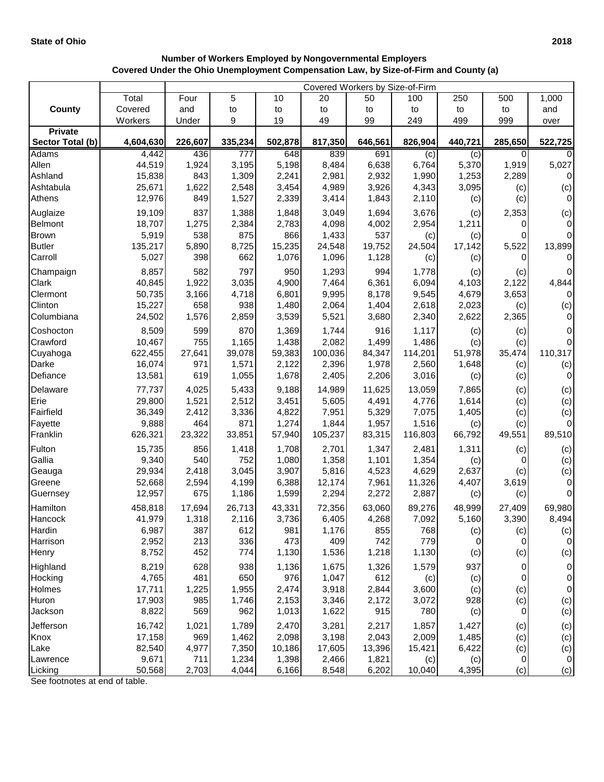## **Number of Workers Employed by Nongovernmental Employers Covered Under the Ohio Unemployment Compensation Law, by Size-of-Firm and County (a)**

|                           |                  | Covered Workers by Size-of-Firm |                  |                |                |                |                |              |              |                  |  |
|---------------------------|------------------|---------------------------------|------------------|----------------|----------------|----------------|----------------|--------------|--------------|------------------|--|
|                           | Total            | Four                            | 5                | 10             | 20             | 50             | 100            | 250          | 500          | 1,000            |  |
| <b>County</b>             | Covered          | and                             | to               | to             | to             | to             | to             | to           | to           | and              |  |
|                           | Workers          | Under                           | 9                | 19             | 49             | 99             | 249            | 499          | 999          | over             |  |
| <b>Private</b>            |                  |                                 |                  |                |                |                |                |              |              |                  |  |
| Sector Total (b)          | 4,604,630        | 226,607                         | 335,234          | 502,878        | 817,350        | 646,561        | 826,904        | 440,721      | 285,650      | 522,725          |  |
| Adams                     | 4,442            | 436                             | $\overline{777}$ | 648            | 839            | 691            | (c)            | (c)          | 0            | $\Omega$         |  |
| Allen                     | 44,519           | 1,924                           | 3,195            | 5,198          | 8,484          | 6,638          | 6,764          | 5,370        | 1,919        | 5,027            |  |
| Ashland                   | 15,838           | 843                             | 1,309            | 2,241          | 2,981          | 2,932          | 1,990          | 1,253        | 2,289        | $\mathbf 0$      |  |
| Ashtabula                 | 25,671           | 1,622                           | 2,548            | 3,454          | 4,989          | 3,926          | 4,343          | 3,095        | (c)          | (c)<br>$\pmb{0}$ |  |
| Athens                    | 12,976           | 849                             | 1,527            | 2,339          | 3,414          | 1,843          | 2,110          | (c)          | (c)          |                  |  |
| Auglaize<br>Belmont       | 19,109<br>18,707 | 837<br>1,275                    | 1,388<br>2,384   | 1,848<br>2,783 | 3,049<br>4,098 | 1,694<br>4,002 | 3,676<br>2,954 | (c)<br>1,211 | 2,353<br>0   | (c)<br>0         |  |
| <b>Brown</b>              | 5,919            | 538                             | 875              | 866            | 1,433          | 537            | (c)            | (c)          | 0            | $\mathbf 0$      |  |
| <b>Butler</b>             | 135,217          | 5,890                           | 8,725            | 15,235         | 24,548         | 19,752         | 24,504         | 17,142       | 5,522        | 13,899           |  |
| Carroll                   | 5,027            | 398                             | 662              | 1,076          | 1,096          | 1,128          | (c)            | (c)          | 0            | $\mathbf 0$      |  |
|                           | 8,857            | 582                             | 797              | 950            | 1,293          | 994            | 1,778          |              |              | $\mathbf 0$      |  |
| Champaign<br><b>Clark</b> | 40,845           | 1,922                           | 3,035            | 4,900          | 7,464          | 6,361          | 6,094          | (c)<br>4,103 | (c)<br>2,122 | 4,844            |  |
| Clermont                  | 50,735           | 3,166                           | 4,718            | 6,801          | 9,995          | 8,178          | 9,545          | 4,679        | 3,653        | $\mathbf 0$      |  |
| Clinton                   | 15,227           | 658                             | 938              | 1,480          | 2,064          | 1,404          | 2,618          | 2,023        | (c)          | (c)              |  |
| Columbiana                | 24,502           | 1,576                           | 2,859            | 3,539          | 5,521          | 3,680          | 2,340          | 2,622        | 2,365        | $\pmb{0}$        |  |
| Coshocton                 | 8,509            | 599                             | 870              | 1,369          | 1,744          | 916            | 1,117          |              |              | $\mathbf 0$      |  |
| Crawford                  | 10,467           | 755                             | 1,165            | 1,438          | 2,082          | 1,499          | 1,486          | (c)<br>(c)   | (c)<br>(c)   | $\mathbf 0$      |  |
| Cuyahoga                  | 622,455          | 27,641                          | 39,078           | 59,383         | 100,036        | 84,347         | 114,201        | 51,978       | 35,474       | 110,317          |  |
| Darke                     | 16,074           | 971                             | 1,571            | 2,122          | 2,396          | 1,978          | 2,560          | 1,648        | (c)          | (c)              |  |
| Defiance                  | 13,581           | 619                             | 1,055            | 1,678          | 2,405          | 2,206          | 3,016          | (c)          | (c)          | $\mathbf 0$      |  |
| Delaware                  | 77,737           | 4,025                           | 5,433            | 9,188          | 14,989         | 11,625         | 13,059         | 7,865        | (c)          | (c)              |  |
| Erie                      | 29,800           | 1,521                           | 2,512            | 3,451          | 5,605          | 4,491          | 4,776          | 1,614        | (c)          | (c)              |  |
| Fairfield                 | 36,349           | 2,412                           | 3,336            | 4,822          | 7,951          | 5,329          | 7,075          | 1,405        | (c)          | (c)              |  |
| Fayette                   | 9,888            | 464                             | 871              | 1,274          | 1,844          | 1,957          | 1,516          | (c)          | (c)          | $\mathbf 0$      |  |
| Franklin                  | 626,321          | 23,322                          | 33,851           | 57,940         | 105,237        | 83,315         | 116,803        | 66,792       | 49,551       | 89,510           |  |
| Fulton                    | 15,735           | 856                             | 1,418            | 1,708          | 2,701          | 1,347          | 2,481          | 1,311        | (c)          | (c)              |  |
| Gallia                    | 9,340            | 540                             | 752              | 1,080          | 1,358          | 1,101          | 1,354          | (c)          | 0            | (c)              |  |
| Geauga                    | 29,934           | 2,418                           | 3,045            | 3,907          | 5,816          | 4,523          | 4,629          | 2,637        | (c)          | (c)              |  |
| Greene                    | 52,668           | 2,594                           | 4,199            | 6,388          | 12,174         | 7,961          | 11,326         | 4,407        | 3,619        | 0                |  |
| Guernsey                  | 12,957           | 675                             | 1,186            | 1,599          | 2,294          | 2,272          | 2,887          | (c)          | (c)          | 0                |  |
| Hamilton                  | 458,818          | 17,694                          | 26,713           | 43,331         | 72,356         | 63,060         | 89,276         | 48,999       | 27,409       | 69,980           |  |
| Hancock                   | 41,979           | 1,318                           | 2,116            | 3,736          | 6,405          | 4,268          | 7,092          | 5,160        | 3,390        | 8,494            |  |
| Hardin                    | 6,987            | 387                             | 612              | 981            | 1,176          | 855            | 768            | (c)          | (c)          | (c)              |  |
| Harrison                  | 2,952            | 213                             | 336              | 473            | 409            | 742            | 779            | 0            | 0            | $\mathbf 0$      |  |
| Henry                     | 8,752            | 452                             | 774              | 1,130          | 1,536          | 1,218          | 1,130          | (c)          | (c)          | (c)              |  |
| Highland                  | 8,219            | 628                             | 938              | 1,136          | 1,675          | 1,326          | 1,579          | 937          | 0            | 0                |  |
| Hocking                   | 4,765            | 481                             | 650              | 976            | 1,047          | 612            | (c)            | (c)          | 0            | 0                |  |
| Holmes                    | 17,711           | 1,225                           | 1,955            | 2,474          | 3,918          | 2,844          | 3,600          | (c)          | (c)          | $\pmb{0}$        |  |
| Huron                     | 17,903           | 985                             | 1,746            | 2,153          | 3,346          | 2,172          | 3,072          | 928          | (c)          | (c)              |  |
| Jackson                   | 8,822            | 569                             | 962              | 1,013          | 1,622          | 915            | 780            | (c)          | $\mathbf 0$  | (c)              |  |
| Jefferson                 | 16,742           | 1,021                           | 1,789            | 2,470          | 3,281          | 2,217          | 1,857          | 1,427        | (c)          | (c)              |  |
| Knox                      | 17,158           | 969                             | 1,462            | 2,098          | 3,198          | 2,043          | 2,009          | 1,485        | (c)          | (c)              |  |
| Lake                      | 82,540           | 4,977                           | 7,350            | 10,186         | 17,605         | 13,396         | 15,421         | 6,422        | (c)          | (c)              |  |
| Lawrence                  | 9,671            | 711                             | 1,234            | 1,398          | 2,466          | 1,821          | (c)            | (c)          | $\mathbf 0$  | $\mathbf 0$      |  |
| Licking                   | 50,568           | 2,703                           | 4,044            | 6,166          | 8,548          | 6,202          | 10,040         | 4,395        | (c)          | (c)              |  |

See footnotes at end of table.